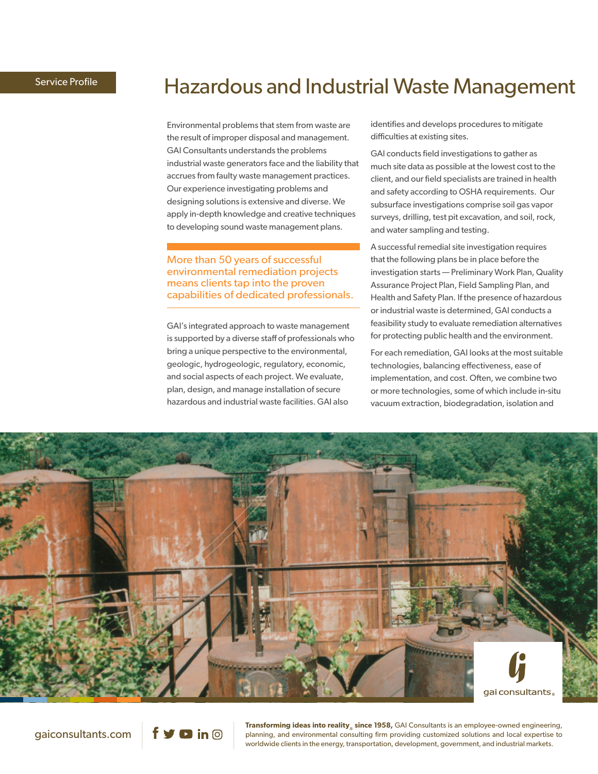# Service Profile **Edge Concernery [Hazardous and Industrial Waste Management](http://www.gaiconsultants.com/hazardous-waste)**

Environmental problems that stem from waste are the result of improper disposal and management. GAI Consultants understands the problems industrial waste generators face and the liability that accrues from faulty waste management practices. Our experience investigating problems and designing solutions is extensive and diverse. We apply in-depth knowledge and creative techniques to developing sound waste management plans.

## More than 50 years of successful environmental remediation projects means clients tap into the proven capabilities of dedicated professionals.

GAI's integrated approach to waste management is supported by a diverse staff of professionals who bring a unique perspective to the environmental, geologic, hydrogeologic, regulatory, economic, and social aspects of each project. We evaluate, plan, design, and manage installation of secure hazardous and industrial waste facilities. GAI also

identifies and develops procedures to mitigate difficulties at existing sites.

GAI conducts field investigations to gather as much site data as possible at the lowest cost to the client, and our field specialists are trained in health and safety according to OSHA requirements. Our subsurface investigations comprise soil gas vapor surveys, drilling, test pit excavation, and soil, rock, and water sampling and testing.

A successful remedial site investigation requires that the following plans be in place before the investigation starts — Preliminary Work Plan, Quality Assurance Project Plan, Field Sampling Plan, and Health and Safety Plan. If the presence of hazardous or industrial waste is determined, GAI conducts a feasibility study to evaluate remediation alternatives for protecting public health and the environment.

For each remediation, GAI looks at the most suitable technologies, balancing effectiveness, ease of implementation, and cost. Often, we combine two or more technologies, some of which include in-situ vacuum extraction, biodegradation, isolation and



gaiconsultants.com

 $\mathbf y$  **D** in  $\odot$ 

**Transforming ideas into reality** since 1958, GAI Consultants is an employee-owned engineering, planning, and environmental consulting firm providing customized solutions and local expertise to worldwide clients in the energy, transportation, development, government, and industrial markets.